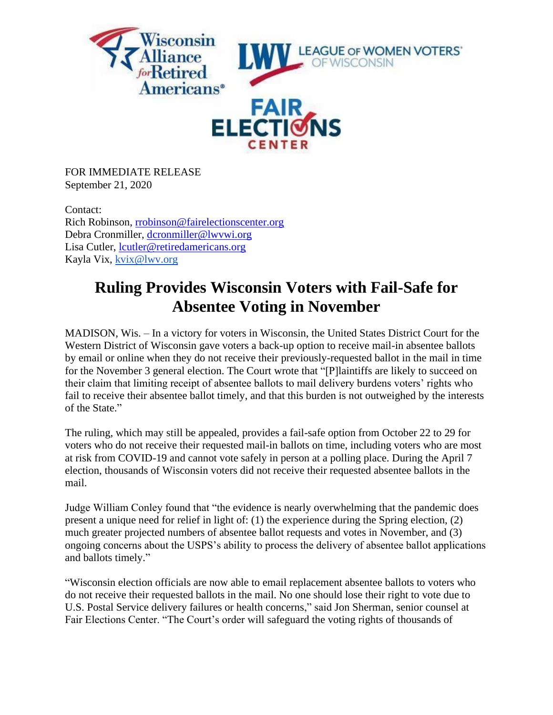

FOR IMMEDIATE RELEASE September 21, 2020

Contact: Rich Robinson, [rrobinson@fairelectionscenter.org](mailto:rrobinson@fairelectionscenter.org) Debra Cronmiller, [dcronmiller@lwvwi.org](mailto:dcronmiller@lwvwi.org) Lisa Cutler, [lcutler@retiredamericans.org](mailto:lcutler@retiredamericans.org) Kayla Vix, [kvix@lwv.org](mailto:kvix@lwv.org)

## **Ruling Provides Wisconsin Voters with Fail-Safe for Absentee Voting in November**

MADISON, Wis. – In a victory for voters in Wisconsin, the United States District Court for the Western District of Wisconsin gave voters a back-up option to receive mail-in absentee ballots by email or online when they do not receive their previously-requested ballot in the mail in time for the November 3 general election. The Court wrote that "[P]laintiffs are likely to succeed on their claim that limiting receipt of absentee ballots to mail delivery burdens voters' rights who fail to receive their absentee ballot timely, and that this burden is not outweighed by the interests of the State."

The ruling, which may still be appealed, provides a fail-safe option from October 22 to 29 for voters who do not receive their requested mail-in ballots on time, including voters who are most at risk from COVID-19 and cannot vote safely in person at a polling place. During the April 7 election, thousands of Wisconsin voters did not receive their requested absentee ballots in the mail.

Judge William Conley found that "the evidence is nearly overwhelming that the pandemic does present a unique need for relief in light of: (1) the experience during the Spring election, (2) much greater projected numbers of absentee ballot requests and votes in November, and (3) ongoing concerns about the USPS's ability to process the delivery of absentee ballot applications and ballots timely."

"Wisconsin election officials are now able to email replacement absentee ballots to voters who do not receive their requested ballots in the mail. No one should lose their right to vote due to U.S. Postal Service delivery failures or health concerns," said Jon Sherman, senior counsel at Fair Elections Center. "The Court's order will safeguard the voting rights of thousands of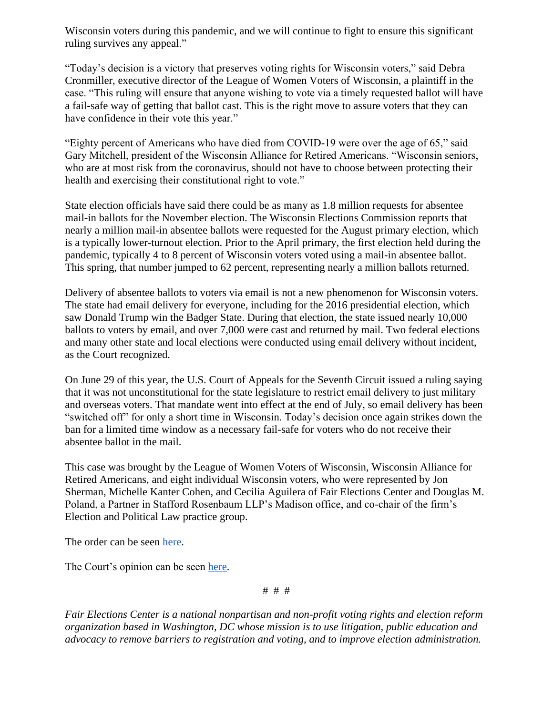Wisconsin voters during this pandemic, and we will continue to fight to ensure this significant ruling survives any appeal."

"Today's decision is a victory that preserves voting rights for Wisconsin voters," said Debra Cronmiller, executive director of the League of Women Voters of Wisconsin, a plaintiff in the case. "This ruling will ensure that anyone wishing to vote via a timely requested ballot will have a fail-safe way of getting that ballot cast. This is the right move to assure voters that they can have confidence in their vote this year."

"Eighty percent of Americans who have died from COVID-19 were over the age of 65," said Gary Mitchell, president of the Wisconsin Alliance for Retired Americans. "Wisconsin seniors, who are at most risk from the coronavirus, should not have to choose between protecting their health and exercising their constitutional right to vote."

State election officials have said there could be as many as 1.8 million requests for absentee mail-in ballots for the November election. The Wisconsin Elections Commission reports that nearly a million mail-in absentee ballots were requested for the August primary election, which is a typically lower-turnout election. Prior to the April primary, the first election held during the pandemic, typically 4 to 8 percent of Wisconsin voters voted using a mail-in absentee ballot. This spring, that number jumped to 62 percent, representing nearly a million ballots returned.

Delivery of absentee ballots to voters via email is not a new phenomenon for Wisconsin voters. The state had email delivery for everyone, including for the 2016 presidential election, which saw Donald Trump win the Badger State. During that election, the state issued nearly 10,000 ballots to voters by email, and over 7,000 were cast and returned by mail. Two federal elections and many other state and local elections were conducted using email delivery without incident, as the Court recognized.

On June 29 of this year, the U.S. Court of Appeals for the Seventh Circuit issued a ruling saying that it was not unconstitutional for the state legislature to restrict email delivery to just military and overseas voters. That mandate went into effect at the end of July, so email delivery has been "switched off" for only a short time in Wisconsin. Today's decision once again strikes down the ban for a limited time window as a necessary fail-safe for voters who do not receive their absentee ballot in the mail.

This case was brought by the League of Women Voters of Wisconsin, Wisconsin Alliance for Retired Americans, and eight individual Wisconsin voters, who were represented by Jon Sherman, Michelle Kanter Cohen, and Cecilia Aguilera of Fair Elections Center and Douglas M. Poland, a Partner in Stafford Rosenbaum LLP's Madison office, and co-chair of the firm's Election and Political Law practice group.

The order can be seen [here.](https://642cf75b-6e65-4c0d-82e2-11357e0523f7.filesusr.com/ugd/85cfb4_298a5a4d19834d018aca9ebcaa040f87.pdf)

The Court's opinion can be seen [here.](https://642cf75b-6e65-4c0d-82e2-11357e0523f7.filesusr.com/ugd/85cfb4_f0505f76af3c45a797635b7ebb9f0efc.pdf)

# # #

*Fair Elections Center is a national nonpartisan and non-profit voting rights and election reform organization based in Washington, DC whose mission is to use litigation, public education and advocacy to remove barriers to registration and voting, and to improve election administration.*